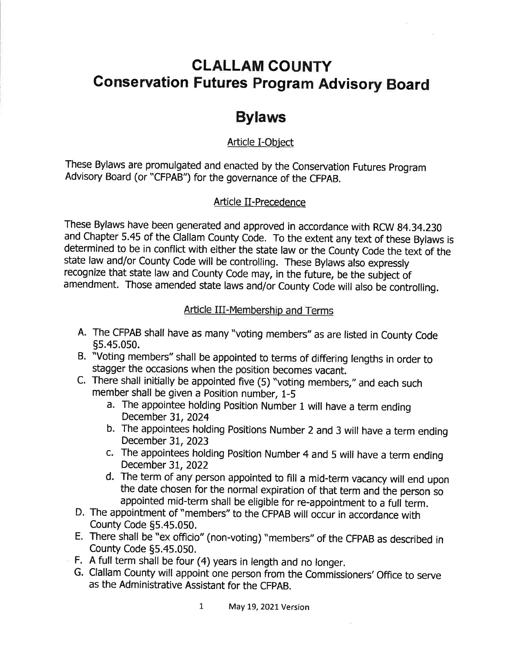# CLALLAM COUNTY Gonservation Futures Program Advisory Board

## Bylaws

## Article I-Object

These Bylaws are promulgated and enacted by the Conseruation Futures program Advisory Board (or "CFPAB") for the governance of the CFPAB.

## Article II-Precedence

These Bylaws have been generated and approved in accordance with RCW 84.34.230 and Chapter 5.45 of the Clallam County Code. To the extent any text of these Bylaws is determined to be in conflict with either the state law or the County Code the text of the state law and/or County Code will be controlling. These Bylaws also expressly recognize that state law and County Code may, in the future, be the subject of amendment. Those amended state laws and/or County Code will also be controlling.

## Article III-Membership and Terms

- A. The CFPAB shall have as many "voting members" as are listed in County Code 5s.4s.0s0.
- B. "Voting members" shall be appointed to terms of differing lengths in order to stagger the occasions when the position becomes vacant.
- C. There shall initially be appointed five  $(5)$  "voting members," and each such member shall be given a Position number, 1-5
	- a. The appointee holding Position Number 1 will have a term ending December 31, 2024
	- b. The appointees holding Positions Number 2 and 3 will have a term ending December 3t,2023
	- c. The appointees holding Position Number 4 and 5 will have a term ending December 31,2022
	- d. The term of any person appointed to fill a mid-term vacancy will end upon the date chosen for the normal expiration of that term and the person so appointed mid-term shall be eligible for re-appointment to a full term.
- D. The appointment of "members" to the CFPAB will occur in accordance with County Code 55.45.050.
- E. There shall be "ex officio" (non-voting) "members" of the CFPAB as described in County Code 55.45.050.
- F. A full term shall be four (4) years in length and no longer.
- G. Clallam County will appoint one person from the Commissioners'Office to serue as the Administrative Assistant for the CFpAB.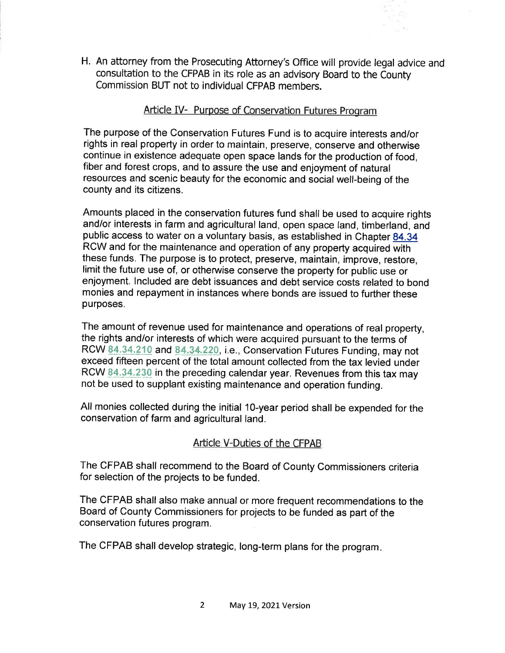H. An attorney from the Prosecuting Attorney's Office will provide legal advice and consultation to the CFPAB in its role as an advisory Board to the County Commission BUT not to individual CFPAB members.

#### Article IV- Purpose of Conseruation Futures Program

The purpose of the Conservation Futures Fund is to acquire interests and/or rights in real property in order to maintain, preserve, conserve and othenuise continue in existence adequate open space lands for the productíon of food, fiber and forest crops, and to assure the use and enjoyment of natural resources and scenic beauty for the economic and social well-being of the county and its citizens.

Amounts placed in the conservation futures fund shall be used to acquire rights and/or interests in farm and agricultural land, open space land, timberland, and public access to water on a voluntary basis, as established in Chapter 84.34 Rcw and for the maintenance and operation of any property acquired with these funds. The purpose is to protect, preserve, maintain, improve, restore, limit the future use of, or otherwise conserve the property for public use or enjoyment. lncluded are debt issuances and debt service costs related to bond monies and repayment in instances where bonds are issued to further these purposes.

The amount of revenue used for maintenance and operations of real property, the rights and/or interests of which were acquired pursuant to the terms of RCW 84.34.210 and 84.34.220, i.e., Conservation Futures Funding, may not exceed fifteen percent of the total amount collected from the tax levied under RCW 84.34.230 in the preceding calendar year. Revenues from this tax may not be used to supplant existíng maintenance and operatíon funding.

All monies collected during the initial 1O-year period shall be expended for the conservation of farm and agricultural land.

## Article V-Duties of the CFPAB

The CFPAB shall recommend to the Board of County Commissioners criteria for selection of the projects to be funded.

The CFPAB shall also make annual or more frequent recommendations to the Board of county commissíoners for projects to be funded as part of the conservation futures program.

The CFPAB shall develop strategic, long-term plans for the program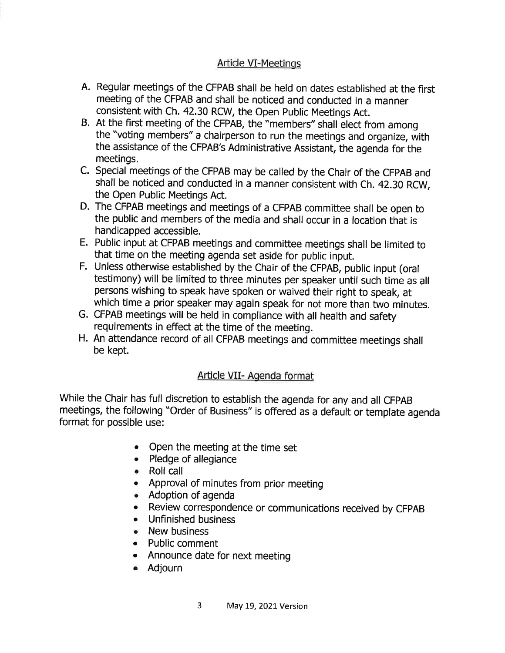## **Article VI-Meetings**

- A. Regular meetings of the CFPAB shall be held on dates established at the first meeting of the CFPAB and shall be noticed and conducted in a manner consistent with Ch. 42.30 RCW, the Open public Meetings Act.
- B. At the first meeting of the CFPAB, the "members" shall elect from among the "voting members" a chairperson to run the meetings and organize, with the assistance of the CFPAB's Administrative Assistant, the agenda for the meetings.
- C. Special meetings of the CFPAB may be called by the Chair of the CFpAB and shall be noticed and conducted in a manner consistent with Ch. 42.30 RCW, the Open Public Meetings Act.
- D. The CFPAB meetings and meetings of a CFPAB committee shall be open to the public and members of the media and shall occur in a location that is handicapped accessible.
- E. Public input at CFPAB meetings and committee meetings shall be limited to that time on the meeting agenda set aside for public input.
- F. Unless otherwise established by the Chair of the CFPAB, public input (oral testimony) will be limited to three minutes per speaker until such time as all persons wishing to speak have spoken or waived their right to speak, at which time a prior speaker may again speak for not more than two minutes.
- G. CFPAB meetings wíll be held in compliance with all health and safety requirements in effect at the time of the meeting.
- H. An attendance record of all CFPAB meetings and committee meetings shall be kept.

## Article VII- Agenda format

While the Chair has full discretion to establish the agenda for any and all CFPAB meetíngs, the following "Order of Business" is offered as a default or template agenda format for possible use:

- . Open the meeting at the time set
- . Pledge of allegiance
- . Roll call
- . Approval of minutes from prior meeting
- . Adoption of agenda
- Review correspondence or communications received by CFPAB
- . Unfinished business
- New business
- . Public comment
- Announce date for next meeting
- . Adjourn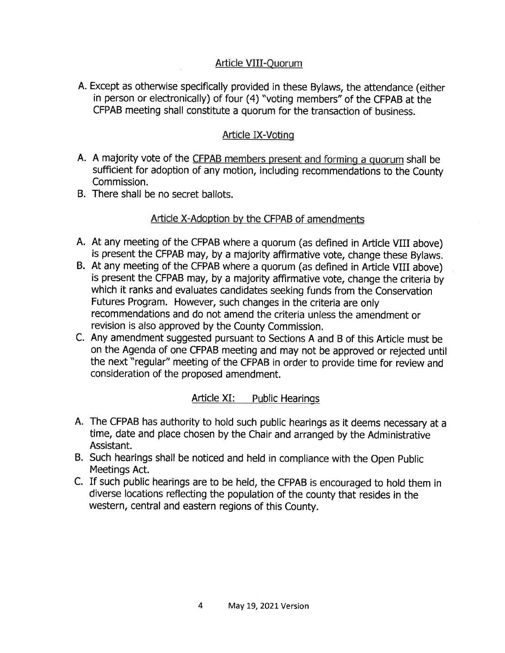## Afticle VIII-Quorum

A. Except as othenryise specifically provided in these Bylaws, the attendance (either in person or electronícally) of four (4) "voting members" of the CFPAB at the CFPAB meeting shall constitute a quorum for the transaction of business.

#### Article IX-Voting

- A. A majority vote of the CFPAB members present and forming a quorum shall be sufficient for adoption of any motion, including recommendations to the County Commission.
- B. There shall be no secret ballots.

### Article X-Adoption by the CFPAB of amendments

- A. At any meeting of the CFPAB where a quorum (as defined in Article VIII above) is present the CFPAB may, by a majority affirmative vote, change these Bylaws.
- B. At any meeting of the CFPAB where a quorum (as defined in Article VIII above) is present the CFPAB may, by a majority affirmative vote, change the criteria by which it ranks and evaluates candidates seeking funds from the Conservation Futures Program. However, such changes in the criteria are only recommendations and do not amend the criteria unless the amendment or revision is also approved by the County Commission.
- C. Any amendment suggested pursuant to Sectíons A and B of this Article must be on the Agenda of one CFPAB meeting and may not be approved or rejected until the next "regular" meeting of the CFPAB in order to provide time for review and consideration of the proposed amendment.

#### Article XI: Public Hearings

- A. The CFPAB has authority to hold such public hearings as it deems necessary at <sup>a</sup> time, date and place chosen by the Chair and arranged by the Administrative Assistant.
- B. Such hearings shall be noticed and held in compliance with the Open Public Meetings Act.
- C. If such public hearings are to be held, the CFPAB is encouraged to hold them in diverse locations reflecting the population of the county that resides in the western, central and eastern regions of this County.